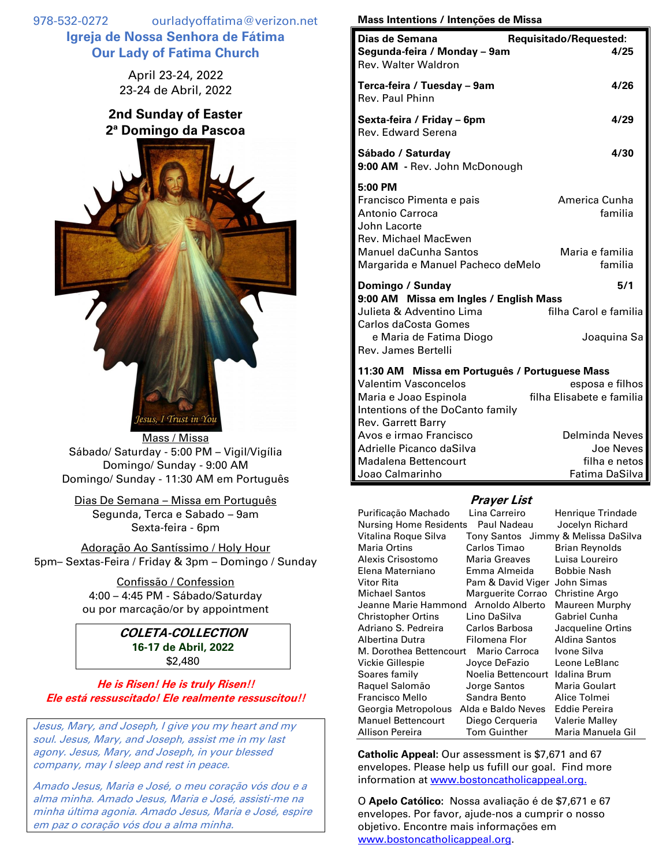978-532-0272 ourladyoffatima@verizon.net **Igreja de Nossa Senhora de Fátima Our Lady of Fatima Church**

> April 23-24, 2022 23-24 de Abril, 2022

## **2nd Sunday of Easter 2ª Domingo da Pascoa**



Mass / Missa Sábado/ Saturday - 5:00 PM – Vigil/Vigília Domingo/ Sunday - 9:00 AM Domingo/ Sunday - 11:30 AM em Português

Dias De Semana – Missa em Português Segunda, Terca e Sabado – 9am Sexta-feira - 6pm

Adoração Ao Santíssimo / Holy Hour 5pm– Sextas-Feira / Friday & 3pm – Domingo / Sunday

> Confissão / Confession 4:00 – 4:45 PM - Sábado/Saturday ou por marcação/or by appointment

> > **COLETA-COLLECTION 16-17 de Abril, 2022** \$2,480

**He is Risen! He is truly Risen!! Ele está ressuscitado! Ele realmente ressuscitou!!**

Jesus, Mary, and Joseph, I give you my heart and my soul. Jesus, Mary, and Joseph, assist me in my last agony. Jesus, Mary, and Joseph, in your blessed company, may I sleep and rest in peace.

Amado Jesus, Maria e José, o meu coração vós dou e a alma minha. Amado Jesus, Maria e José, assisti-me na minha última agonia. Amado Jesus, Maria e José, espire em paz o coração vós dou a alma minha.

## **Mass Intentions / Intenções de Missa**

| Dias de Semana<br>Segunda-feira / Monday - 9am<br>Rev. Walter Waldron                                                                                               | Requisitado/Requested:<br>4/25                         |
|---------------------------------------------------------------------------------------------------------------------------------------------------------------------|--------------------------------------------------------|
| Terca-feira / Tuesday - 9am<br>Rev. Paul Phinn                                                                                                                      | 4/26                                                   |
| Sexta-feira / Friday – 6pm<br><b>Rev. Edward Serena</b>                                                                                                             | 4/29                                                   |
| Sábado / Saturday<br>9:00 AM - Rev. John McDonough                                                                                                                  | 4/30                                                   |
| 5:00 PM<br>Francisco Pimenta e pais<br><b>Antonio Carroca</b><br>John Lacorte<br>Rev. Michael MacEwen<br>Manuel daCunha Santos<br>Margarida e Manuel Pacheco deMelo | America Cunha<br>familia<br>Maria e familia<br>familia |
| Domingo / Sunday<br>9:00 AM Missa em Ingles / English Mass<br>Julieta & Adventino Lima<br>Carlos daCosta Gomes<br>e Maria de Fatima Diogo<br>Rev. James Bertelli    | 5/1<br>filha Carol e familia<br>Joaquina Sa            |
| 11:30 AM Missa em Português / Portuguese Mass<br><b>Valentim Vasconcelos</b><br>Maria e Joao Espinola<br>Intentions of the DoCanto family                           | esposa e filhos<br>filha Elisabete e familia           |

| Rev. Garrett Barry       |                |
|--------------------------|----------------|
| Avos e irmao Francisco   | Delminda Neves |
| Adrielle Picanco daSilva | Joe Neves      |
| Madalena Bettencourt     | filha e netos  |
| Joao Calmarinho          | Fatima DaSilva |

## **Prayer List**

| Purificação Machado                  | Lina Carreiro       | Henrique Trindade                   |
|--------------------------------------|---------------------|-------------------------------------|
| Nursing Home Residents               | Paul Nadeau         | Jocelyn Richard                     |
| Vitalina Roque Silva                 |                     | Tony Santos Jimmy & Melissa DaSilva |
| Maria Ortins                         | Carlos Timao        | <b>Brian Reynolds</b>               |
| Alexis Crisostomo                    | Maria Greaves       | Luisa Loureiro                      |
| Elena Materniano                     | Emma Almeida        | <b>Bobbie Nash</b>                  |
| Vitor Rita                           | Pam & David Viger   | John Simas                          |
| Michael Santos                       | Marguerite Corrao   | Christine Argo                      |
| Jeanne Marie Hammond Arnoldo Alberto |                     | Maureen Murphy                      |
| <b>Christopher Ortins</b>            | Lino DaSilva        | Gabriel Cunha                       |
| Adriano S. Pedreira                  | Carlos Barbosa      | Jacqueline Ortins                   |
| Albertina Dutra                      | Filomena Flor       | Aldina Santos                       |
| M. Dorothea Bettencourt              | Mario Carroca       | Ivone Silva                         |
| Vickie Gillespie                     | Joyce DeFazio       | Leone LeBlanc                       |
| Soares family                        | Noelia Bettencourt  | Idalina Brum                        |
| Raquel Salomão                       | Jorge Santos        | Maria Goulart                       |
| Francisco Mello                      | Sandra Bento        | Alice Tolmei                        |
| Georgia Metropolous                  | Alda e Baldo Neves  | Eddie Pereira                       |
| <b>Manuel Bettencourt</b>            | Diego Cerqueria     | <b>Valerie Malley</b>               |
| Allison Pereira                      | <b>Tom Guinther</b> | Maria Manuela Gil                   |
|                                      |                     |                                     |

**Catholic Appeal:** Our assessment is \$7,671 and 67 envelopes. Please help us fufill our goal. Find more information at [www.bostoncatholicappeal.org.](http://www.bostoncatholicappeal.org/)

O **Apelo Católico:** Nossa avaliação é de \$7,671 e 67 envelopes. Por favor, ajude-nos a cumprir o nosso objetivo. Encontre mais informações em [www.bostoncatholicappeal.org.](http://www.bostoncatholicappeal.org/)